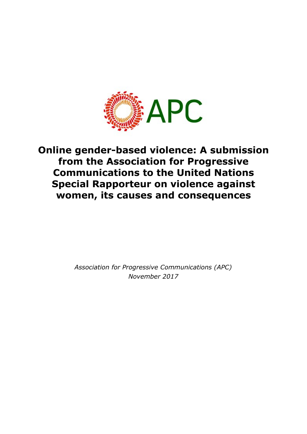

# **Online gender-based violence: A submission from the Association for Progressive Communications to the United Nations Special Rapporteur on violence against women, its causes and consequences**

*Association for Progressive Communications (APC) November 2017*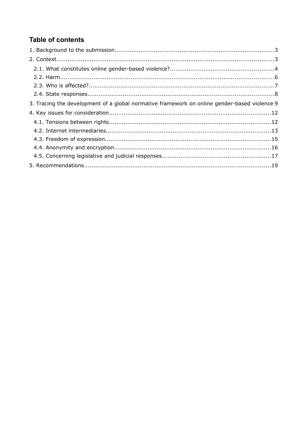## **Table of contents**

| 3. Tracing the development of a global normative framework on online gender-based violence 9 |  |
|----------------------------------------------------------------------------------------------|--|
|                                                                                              |  |
|                                                                                              |  |
|                                                                                              |  |
|                                                                                              |  |
|                                                                                              |  |
|                                                                                              |  |
|                                                                                              |  |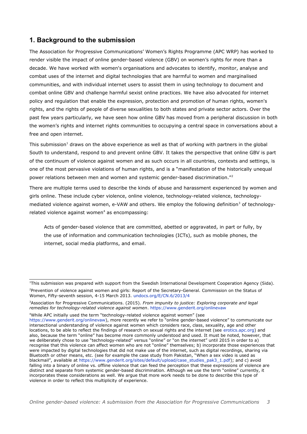## **1. Background to the submission**

The Association for Progressive Communications' Women's Rights Programme (APC WRP) has worked to render visible the impact of online gender-based violence (GBV) on women's rights for more than a decade. We have worked with women's organisations and advocates to identify, monitor, analyse and combat uses of the internet and digital technologies that are harmful to women and marginalised communities, and with individual internet users to assist them in using technology to document and combat online GBV and challenge harmful sexist online practices. We have also advocated for internet policy and regulation that enable the expression, protection and promotion of human rights, women's rights, and the rights of people of diverse sexualities to both states and private sector actors. Over the past few years particularly, we have seen how online GBV has moved from a peripheral discussion in both the women's rights and internet rights communities to occupying a central space in conversations about a free and open internet.

This submission<sup>[1](#page-2-0)</sup> draws on the above experience as well as that of working with partners in the global South to understand, respond to and prevent online GBV. It takes the perspective that online GBV is part of the continuum of violence against women and as such occurs in all countries, contexts and settings, is one of the most pervasive violations of human rights, and is a "manifestation of the historically unequal power relations between men and women and systemic gender-based discrimination."<sup>[2](#page-2-1)</sup>

There are multiple terms used to describe the kinds of abuse and harassment experienced by women and girls online. These include cyber violence, online violence, technology-related violence, technology-mediated violence against women, e-VAW and others. We employ the following definition<sup>[3](#page-2-2)</sup> of technology-related violence against women<sup>[4](#page-2-3)</sup> as encompassing:

Acts of gender-based violence that are committed, abetted or aggravated, in part or fully, by the use of information and communication technologies (ICTs), such as mobile phones, the internet, social media platforms, and email.

<span id="page-2-3"></span><sup>4</sup>While APC initially used the term "technology-related violence against women" (see

<span id="page-2-1"></span><span id="page-2-0"></span><sup>&</sup>lt;sup>1</sup>This submission was prepared with support from the Swedish International Development Cooperation Agency (Sida). <sup>2</sup>Prevention of violence against women and girls: Report of the Secretary-General. Commission on the Status of Women, Fifty-seventh session, 4-15 March 2013. [undocs.org/E/CN.6/2013/4](http://undocs.org/E/CN.6/2013/4) 

<span id="page-2-2"></span><sup>3</sup>Association for Progressive Communications. (2015). *From impunity to justice: Exploring corporate and legal remedies for technology-related violence against women*.<https://www.genderit.org/onlinevaw>

[https://www.genderit.org/onlinevaw\)](https://www.genderit.org/onlinevaw), more recently we refer to "online gender-based violence" to communicate our intersectional understanding of violence against women which considers race, class, sexuality, age and other locations, to be able to reflect the findings of research on sexual rights and the internet (see [erotics.apc.org\)](http://erotics.apc.org/) and also, because the term "online" has become more commonly understood and used. It must be noted, however, that we deliberately chose to use "technology-related" versus "online" or "on the internet" until 2015 in order to a) recognise that this violence can affect women who are not "online" themselves; b) incorporate those experiences that were impacted by digital technologies that did not make use of the internet, such as digital recordings, sharing via Bluetooth or other means, etc. (see for example the case study from Pakistan, "When a sex video is used as blackmail", available at [https://www.genderit.org/sites/default/upload/case\\_studies\\_pak3\\_1.pdf\)](https://www.genderit.org/sites/default/upload/case_studies_pak3_1.pdf); and c) avoid falling into a binary of online vs. offline violence that can feed the perception that these expressions of violence are distinct and separate from systemic gender-based discrimination. Although we use the term "online" currently, it incorporates these considerations as well. We argue that more work needs to be done to describe this type of violence in order to reflect this multiplicity of experience.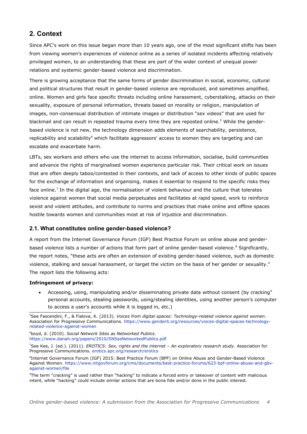## **2. Context**

Since APC's work on this issue began more than 10 years ago, one of the most significant shifts has been from viewing women's experiences of violence online as a series of isolated incidents affecting relatively privileged women, to an understanding that these are part of the wider context of unequal power relations and systemic gender-based violence and discrimination.

There is growing acceptance that the same forms of gender discrimination in social, economic, cultural and political structures that result in gender-based violence are reproduced, and sometimes amplified, online. Women and girls face specific threats including online harassment, cyberstalking, attacks on their sexuality, exposure of personal information, threats based on morality or religion, manipulation of images, non-consensual distribution of intimate images or distribution "sex videos" that are used for blackmail and can result in repeated trauma every time they are reposted online.<sup>[5](#page-3-0)</sup> While the genderbased violence is not new, the technology dimension adds elements of searchability, persistence, replicability and scalability<sup>[6](#page-3-1)</sup> which facilitate aggressors' access to women they are targeting and can escalate and exacerbate harm.

LBTs, sex workers and others who use the internet to access information, socialise, build communities and advance the rights of marginalised women experience particular risk. Their critical work on issues that are often deeply taboo/contested in their contexts, and lack of access to other kinds of public spaces for the exchange of information and organising, makes it essential to respond to the specific risks they face online.<sup>[7](#page-3-2)</sup> In the digital age, the normalisation of violent behaviour and the culture that tolerates violence against women that social media perpetuates and facilitates at rapid speed, work to reinforce sexist and violent attitudes, and contribute to norms and practices that make online and offline spaces hostile towards women and communities most at risk of injustice and discrimination.

#### **2.1. What constitutes online gender-based violence?**

A report from the Internet Governance Forum (IGF) Best Practice Forum on online abuse and gender-based violence lists a number of actions that form part of online gender-based violence.<sup>[8](#page-3-3)</sup> Significantly, the report notes, "these acts are often an extension of existing gender-based violence, such as domestic violence, stalking and sexual harassment, or target the victim on the basis of her gender or sexuality." The report lists the following acts:

#### **Infringement of privacy:**

Accessing, using, manipulating and/or disseminating private data without consent (by cracking<sup>[9](#page-3-4)</sup>) personal accounts, stealing passwords, using/stealing identities, using another person's computer to access a user's accounts while it is logged in, etc.)

<span id="page-3-1"></span><sup>6</sup>boyd, d. (2010). *Social Network Sites as Networked Publics.*

<span id="page-3-0"></span><sup>5</sup>See Fascendini, F., & Fialova, K. (2013). *Voices from digital spaces: Technology-related violence against women*. Association for Progressive Communications. [https://www.genderit.org/resources/voices-digital-spaces-technology](https://www.genderit.org/resources/voices-digital-spaces-technology-related-violence-against-women)[related-violence-against-women](https://www.genderit.org/resources/voices-digital-spaces-technology-related-violence-against-women)

<https://www.danah.org/papers/2010/SNSasNetworkedPublics.pdf>

<span id="page-3-2"></span><sup>7</sup>See Kee, J. (ed.). (2011). *EROTICS: Sex, rights and the internet – An exploratory research study*. Association for Progressive Communications. [erotics.apc.org/research/erotics](http://erotics.apc.org/research/erotics) 

<span id="page-3-3"></span><sup>&</sup>lt;sup>8</sup>Internet Governance Forum (IGF) 2015: Best Practice Forum (BPF) on Online Abuse and Gender-Based Violence Against Women. [https://www.intgovforum.org/cms/documents/best-practice-forums/623-bpf-online-abuse-and-gbv](https://www.intgovforum.org/cms/documents/best-practice-forums/623-bpf-online-abuse-and-gbv-against-women/file)[against-women/file](https://www.intgovforum.org/cms/documents/best-practice-forums/623-bpf-online-abuse-and-gbv-against-women/file)

<span id="page-3-4"></span><sup>9</sup>The term "cracking" is used rather than "hacking" to indicate a forced entry or takeover of content with malicious intent, while "hacking" could include similar actions that are bona fide and/or done in the public interest.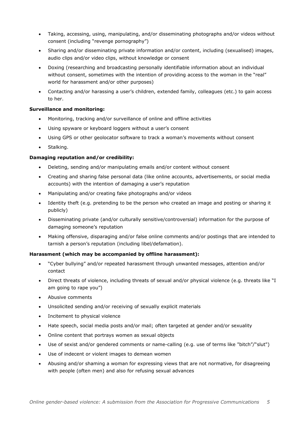- Taking, accessing, using, manipulating, and/or disseminating photographs and/or videos without consent (including "revenge pornography")
- Sharing and/or disseminating private information and/or content, including (sexualised) images, audio clips and/or video clips, without knowledge or consent
- Doxing (researching and broadcasting personally identifiable information about an individual without consent, sometimes with the intention of providing access to the woman in the "real" world for harassment and/or other purposes)
- Contacting and/or harassing a user's children, extended family, colleagues (etc.) to gain access to her.

#### **Surveillance and monitoring:**

- Monitoring, tracking and/or surveillance of online and offline activities
- Using spyware or keyboard loggers without a user's consent
- Using GPS or other geolocator software to track a woman's movements without consent
- Stalking.

#### **Damaging reputation and/or credibility:**

- Deleting, sending and/or manipulating emails and/or content without consent
- Creating and sharing false personal data (like online accounts, advertisements, or social media accounts) with the intention of damaging a user's reputation
- Manipulating and/or creating fake photographs and/or videos
- Identity theft (e.g. pretending to be the person who created an image and posting or sharing it publicly)
- Disseminating private (and/or culturally sensitive/controversial) information for the purpose of damaging someone's reputation
- Making offensive, disparaging and/or false online comments and/or postings that are intended to tarnish a person's reputation (including libel/defamation).

#### **Harassment (which may be accompanied by offline harassment):**

- "Cyber bullying" and/or repeated harassment through unwanted messages, attention and/or contact
- Direct threats of violence, including threats of sexual and/or physical violence (e.g. threats like "I am going to rape you")
- Abusive comments
- Unsolicited sending and/or receiving of sexually explicit materials
- Incitement to physical violence
- Hate speech, social media posts and/or mail; often targeted at gender and/or sexuality
- Online content that portrays women as sexual objects
- Use of sexist and/or gendered comments or name-calling (e.g. use of terms like "bitch"/"slut")
- Use of indecent or violent images to demean women
- Abusing and/or shaming a woman for expressing views that are not normative, for disagreeing with people (often men) and also for refusing sexual advances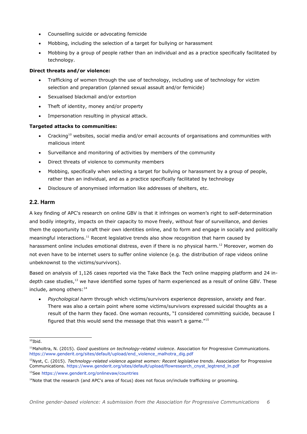- Counselling suicide or advocating femicide
- Mobbing, including the selection of a target for bullying or harassment
- Mobbing by a group of people rather than an individual and as a practice specifically facilitated by technology.

#### **Direct threats and/or violence:**

- Trafficking of women through the use of technology, including use of technology for victim selection and preparation (planned sexual assault and/or femicide)
- Sexualised blackmail and/or extortion
- Theft of identity, money and/or property
- Impersonation resulting in physical attack.

#### **Targeted attacks to communities:**

- Cracking<sup>[10](#page-5-0)</sup> websites, social media and/or email accounts of organisations and communities with malicious intent
- Surveillance and monitoring of activities by members of the community
- Direct threats of violence to community members
- Mobbing, specifically when selecting a target for bullying or harassment by a group of people, rather than an individual, and as a practice specifically facilitated by technology
- Disclosure of anonymised information like addresses of shelters, etc.

#### **2.2. Harm**

A key finding of APC's research on online GBV is that it infringes on women's right to self-determination and bodily integrity, impacts on their capacity to move freely, without fear of surveillance, and denies them the opportunity to craft their own identities online, and to form and engage in socially and politically meaningful interactions.<sup>[11](#page-5-1)</sup> Recent legislative trends also show recognition that harm caused by harassment online includes emotional distress, even if there is no physical harm.<sup>[12](#page-5-2)</sup> Moreover, women do not even have to be internet users to suffer online violence (e.g. the distribution of rape videos online unbeknownst to the victims/survivors).

Based on analysis of 1,126 cases reported via the Take Back the Tech online mapping platform and 24 in-depth case studies,<sup>[13](#page-5-3)</sup> we have identified some types of harm experienced as a result of online GBV. These include, among others: $14$ 

 *Psychological harm* through which victims/survivors experience depression, anxiety and fear. There was also a certain point where some victims/survivors expressed suicidal thoughts as a result of the harm they faced. One woman recounts, "I considered committing suicide, because I figured that this would send the message that this wasn't a game. $15$ 

<span id="page-5-0"></span> $10$ Ibid.

<span id="page-5-1"></span><sup>11</sup>Maholtra, N. (2015). *Good questions on technology-related violence*. Association for Progressive Communications. [https://www.genderit.org/sites/default/upload/end\\_violence\\_malhotra\\_dig.pdf](https://www.genderit.org/sites/default/upload/end_violence_malhotra_dig.pdf) 

<span id="page-5-2"></span><sup>12</sup>Nyst, C. (2015). *Technology-related violence against women: Recent legislative trends*. Association for Progressive Communications. [https://www.genderit.org/sites/default/upload/flowresearch\\_cnyst\\_legtrend\\_ln.pdf](https://www.genderit.org/sites/default/upload/flowresearch_cnyst_legtrend_ln.pdf) <sup>13</sup>See<https://www.genderit.org/onlinevaw/countries>

<span id="page-5-4"></span><span id="page-5-3"></span><sup>&</sup>lt;sup>14</sup>Note that the research (and APC's area of focus) does not focus on/include trafficking or grooming.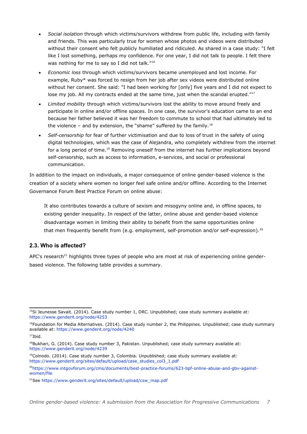- *Social isolation* through which victims/survivors withdrew from public life, including with family and friends. This was particularly true for women whose photos and videos were distributed without their consent who felt publicly humiliated and ridiculed. As shared in a case study: "I felt like I lost something, perhaps my confidence. For one year, I did not talk to people. I felt there was nothing for me to say so I did not talk."<sup>[16](#page-6-0)</sup>
- *Economic loss* through which victims/survivors became unemployed and lost income. For example, Ruby\* was forced to resign from her job after sex videos were distributed online without her consent. She said: "I had been working for [only] five years and I did not expect to lose my job. All my contracts ended at the same time, just when the scandal erupted. $117$  $117$
- *Limited mobility* through which victims/survivors lost the ability to move around freely and participate in online and/or offline spaces. In one case, the survivor's education came to an end because her father believed it was her freedom to commute to school that had ultimately led to the violence – and by extension, the "shame" suffered by the family.<sup>[18](#page-6-2)</sup>
- *Self-censorship* for fear of further victimisation and due to loss of trust in the safety of using digital technologies, which was the case of Alejandra, who completely withdrew from the internet for a long period of time.<sup>[19](#page-6-3)</sup> Removing oneself from the internet has further implications beyond self-censorship, such as access to information, e-services, and social or professional communication.

In addition to the impact on individuals, a major consequence of online gender-based violence is the creation of a society where women no longer feel safe online and/or offline. According to the Internet Governance Forum Best Practice Forum on online abuse:

It also contributes towards a culture of sexism and misogyny online and, in offline spaces, to existing gender inequality. In respect of the latter, online abuse and gender-based violence disadvantage women in limiting their ability to benefit from the same opportunities online that men frequently benefit from (e.g. employment, self-promotion and/or self-expression).<sup>[20](#page-6-4)</sup>

#### **2.3. Who is affected?**

APC's research<sup>[21](#page-6-5)</sup> highlights three types of people who are most at risk of experiencing online genderbased violence. The following table provides a summary.

<sup>&</sup>lt;sup>15</sup>Si Jeunesse Savait. (2014). Case study number 1, DRC. Unpublished; case study summary available at: <https://www.genderit.org/node/4253>

<span id="page-6-0"></span> $16$ Foundation for Media Alternatives. (2014). Case study number 2, the Philippines. Unpublished; case study summary available at:<https://www.genderit.org/node/4240>

<span id="page-6-1"></span> $17$ Ibid.

<span id="page-6-2"></span><sup>&</sup>lt;sup>18</sup>Bukhari, G. (2014). Case study number 3, Pakistan. Unpublished; case study summary available at: <https://www.genderit.org/node/4239>

<span id="page-6-3"></span> $19$ Colnodo. (2014). Case study number 3, Colombia. Unpublished; case study summary available at: [https://www.genderit.org/sites/default/upload/case\\_studies\\_col3\\_1.pdf](https://www.genderit.org/sites/default/upload/case_studies_col3_1.pdf) 

<span id="page-6-4"></span><sup>20</sup>[https://www.intgovforum.org/cms/documents/best-practice-forums/623-bpf-online-abuse-and-gbv-against](https://www.intgovforum.org/cms/documents/best-practice-forums/623-bpf-online-abuse-and-gbv-against-women/file)[women/file](https://www.intgovforum.org/cms/documents/best-practice-forums/623-bpf-online-abuse-and-gbv-against-women/file)

<span id="page-6-5"></span><sup>21</sup>See [https://www.genderit.org/sites/default/upload/csw\\_map.pdf](https://www.genderit.org/sites/default/upload/csw_map.pdf)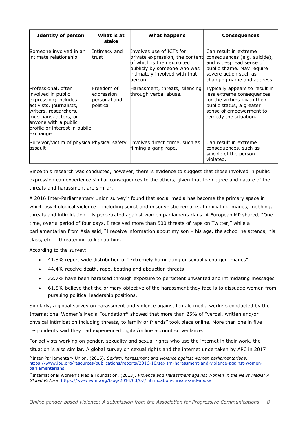| <b>Identity of person</b>                                                                                                                                                                                           | What is at<br>stake                                    | What happens                                                                                                                                                         | <b>Consequences</b>                                                                                                                                                        |
|---------------------------------------------------------------------------------------------------------------------------------------------------------------------------------------------------------------------|--------------------------------------------------------|----------------------------------------------------------------------------------------------------------------------------------------------------------------------|----------------------------------------------------------------------------------------------------------------------------------------------------------------------------|
| Someone involved in an<br>intimate relationship                                                                                                                                                                     | Intimacy and<br>trust                                  | Involves use of ICTs for<br>private expression, the content<br>of which is then exploited<br>publicly by someone who was<br>intimately involved with that<br>berson. | Can result in extreme<br>consequences (e.g. suicide),<br>and widespread sense of<br>public shame. May require<br>severe action such as<br>changing name and address.       |
| Professional, often<br>involved in public<br>expression; includes<br>activists, journalists,<br>writers, researchers,<br>musicians, actors, or<br>anyone with a public<br>profile or interest in public<br>exchange | Freedom of<br>expression:<br>bersonal and<br>political | Harassment, threats, silencing<br>through verbal abuse.                                                                                                              | Typically appears to result in<br>less extreme consequences<br>for the victims given their<br>public status, a greater<br>sense of empowerment to<br>remedy the situation. |
| Survivor/victim of physical Physical safety<br>lassault                                                                                                                                                             |                                                        | Involves direct crime, such as<br>filming a gang rape.                                                                                                               | Can result in extreme<br>consequences, such as<br>suicide of the person<br>violated.                                                                                       |

Since this research was conducted, however, there is evidence to suggest that those involved in public expression can experience similar consequences to the others, given that the degree and nature of the threats and harassment are similar.

A 2016 Inter-Parliamentary Union survey<sup>[22](#page-7-0)</sup> found that social media has become the primary space in which psychological violence – including sexist and misogynistic remarks, humiliating images, mobbing, threats and intimidation – is perpetrated against women parliamentarians. A European MP shared, "One time, over a period of four days, I received more than 500 threats of rape on Twitter," while a parliamentarian from Asia said, "I receive information about my son – his age, the school he attends, his class, etc. – threatening to kidnap him."

According to the survey:

- 41.8% report wide distribution of "extremely humiliating or sexually charged images"
- 44.4% receive death, rape, beating and abduction threats
- 32.7% have been harassed through exposure to persistent unwanted and intimidating messages
- 61.5% believe that the primary objective of the harassment they face is to dissuade women from pursuing political leadership positions.

Similarly, a global survey on harassment and violence against female media workers conducted by the International Women's Media Foundation<sup>[23](#page-7-1)</sup> showed that more than 25% of "verbal, written and/or physical intimidation including threats, to family or friends" took place online. More than one in five respondents said they had experienced digital/online account surveillance.

For activists working on gender, sexuality and sexual rights who use the internet in their work, the situation is also similar. A global survey on sexual rights and the internet undertaken by APC in 2017

<span id="page-7-0"></span><sup>22</sup>Inter-Parliamentary Union. (2016). *Sexism, harassment and violence against women parliamentarians*. [https://www.ipu.org/resources/publications/reports/2016-10/sexism-harassment-and-violence-against-women](https://www.ipu.org/resources/publications/reports/2016-10/sexism-harassment-and-violence-against-women-parliamentarians)[parliamentarians](https://www.ipu.org/resources/publications/reports/2016-10/sexism-harassment-and-violence-against-women-parliamentarians) 

<span id="page-7-1"></span><sup>23</sup>International Women's Media Foundation. (2013). *Violence and Harassment against Women in the News Media: A Global Picture*.<https://www.iwmf.org/blog/2014/03/07/intimidation-threats-and-abuse>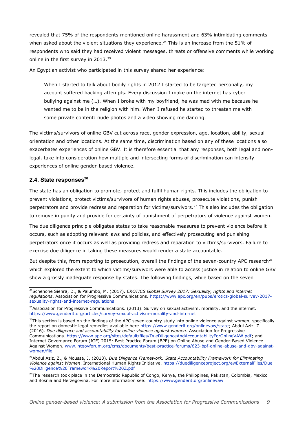revealed that 75% of the respondents mentioned online harassment and 63% intimidating comments when asked about the violent situations they experience.<sup>[24](#page-8-0)</sup> This is an increase from the 51% of respondents who said they had received violent messages, threats or offensive comments while working online in the first survey in 2013.<sup>[25](#page-8-1)</sup>

An Egyptian activist who participated in this survey shared her experience:

When I started to talk about bodily rights in 2012 I started to be targeted personally, my account suffered hacking attempts. Every discussion I make on the internet has cyber bullying against me (…). When I broke with my boyfriend, he was mad with me because he wanted me to be in the religion with him. When I refused he started to threaten me with some private content: nude photos and a video showing me dancing.

The victims/survivors of online GBV cut across race, gender expression, age, location, ability, sexual orientation and other locations. At the same time, discrimination based on any of these locations also exacerbates experiences of online GBV. It is therefore essential that any responses, both legal and nonlegal, take into consideration how multiple and intersecting forms of discrimination can intensify experiences of online gender-based violence.

#### **2.4. State responses[26](#page-8-2)**

The state has an obligation to promote, protect and fulfil human rights. This includes the obligation to prevent violations, protect victims/survivors of human rights abuses, prosecute violations, punish perpetrators and provide redress and reparation for victims/survivors.<sup>[27](#page-8-3)</sup> This also includes the obligation to remove impunity and provide for certainty of punishment of perpetrators of violence against women.

The due diligence principle obligates states to take reasonable measures to prevent violence before it occurs, such as adopting relevant laws and policies, and effectively prosecuting and punishing perpetrators once it occurs as well as providing redress and reparation to victims/survivors. Failure to exercise due diligence in taking these measures would render a state accountable.

But despite this, from reporting to prosecution, overall the findings of the seven-country APC research<sup>[28](#page-8-4)</sup> which explored the extent to which victims/survivors were able to access justice in relation to online GBV show a grossly inadequate response by states. The following findings, while based on the seven

<span id="page-8-0"></span><sup>24</sup>Schenone Sienra, D., & Palumbo, M. (2017). *EROTICS Global Survey 2017: Sexuality, rights and internet regulations*. Association for Progressive Communications. [https://www.apc.org/en/pubs/erotics-global-survey-2017](https://www.apc.org/en/pubs/erotics-global-survey-2017-sexuality-rights-and-internet-regulations) [sexuality-rights-and-internet-regulations](https://www.apc.org/en/pubs/erotics-global-survey-2017-sexuality-rights-and-internet-regulations) 

<span id="page-8-1"></span><sup>&</sup>lt;sup>25</sup>Association for Progressive Communications. (2013). Survey on sexual activism, morality, and the internet. <https://www.genderit.org/articles/survey-sexual-activism-morality-and-internet>

<span id="page-8-2"></span><sup>&</sup>lt;sup>26</sup>This section is based on the findings of the APC seven-country study into online violence against women, specifically the report on domestic legal remedies available here [https://www.genderit.org/onlinevaw/state;](https://www.genderit.org/onlinevaw/state) Abdul Aziz, Z. (2016). *Due diligence and accountability for online violence against women*. Association for Progressive Communications. [https://www.apc.org/sites/default/files/DueDiligenceAndAccountabilityForOnlineVAW.pdf;](https://www.apc.org/sites/default/files/DueDiligenceAndAccountabilityForOnlineVAW.pdf) and Internet Governance Forum (IGF) 2015: Best Practice Forum (BPF) on Online Abuse and Gender-Based Violence Against Women. [www.intgovforum.org/cms/documents/best-practice-forums/623-bpf-online-abuse-and-gbv-against](http://www.intgovforum.org/cms/documents/best-practice-forums/623-bpf-online-abuse-and-gbv-against-women/file)[women/file](http://www.intgovforum.org/cms/documents/best-practice-forums/623-bpf-online-abuse-and-gbv-against-women/file)

<span id="page-8-3"></span><sup>27</sup>Abdul Aziz, Z., & Moussa, J. (2013). *Due Diligence Framework: State Accountability Framework for Eliminating Violence against Women*. International Human Rights Initiative. [https://duediligenceproject.org/ewExternalFiles/Due](https://duediligenceproject.org/ewExternalFiles/Due%20Diligence%20Framework%20Report%20Z.pdf) [%20Diligence%20Framework%20Report%20Z.pdf](https://duediligenceproject.org/ewExternalFiles/Due%20Diligence%20Framework%20Report%20Z.pdf) 

<span id="page-8-4"></span><sup>&</sup>lt;sup>28</sup>The research took place in the Democratic Republic of Congo, Kenya, the Philippines, Pakistan, Colombia, Mexico and Bosnia and Herzegovina. For more information see:<https://www.genderit.org/onlinevaw>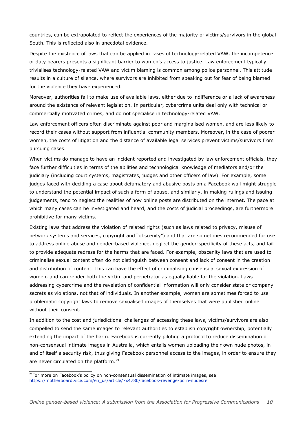countries, can be extrapolated to reflect the experiences of the majority of victims/survivors in the global South. This is reflected also in anecdotal evidence.

Despite the existence of laws that can be applied in cases of technology-related VAW, the incompetence of duty bearers presents a significant barrier to women's access to justice. Law enforcement typically trivialises technology-related VAW and victim blaming is common among police personnel. This attitude results in a culture of silence, where survivors are inhibited from speaking out for fear of being blamed for the violence they have experienced.

Moreover, authorities fail to make use of available laws, either due to indifference or a lack of awareness around the existence of relevant legislation. In particular, cybercrime units deal only with technical or commercially motivated crimes, and do not specialise in technology-related VAW.

Law enforcement officers often discriminate against poor and marginalised women, and are less likely to record their cases without support from influential community members. Moreover, in the case of poorer women, the costs of litigation and the distance of available legal services prevent victims/survivors from pursuing cases.

When victims do manage to have an incident reported and investigated by law enforcement officials, they face further difficulties in terms of the abilities and technological knowledge of mediators and/or the judiciary (including court systems, magistrates, judges and other officers of law). For example, some judges faced with deciding a case about defamatory and abusive posts on a Facebook wall might struggle to understand the potential impact of such a form of abuse, and similarly, in making rulings and issuing judgements, tend to neglect the realities of how online posts are distributed on the internet. The pace at which many cases can be investigated and heard, and the costs of judicial proceedings, are furthermore prohibitive for many victims.

Existing laws that address the violation of related rights (such as laws related to privacy, misuse of network systems and services, copyright and "obscenity") and that are sometimes recommended for use to address online abuse and gender-based violence, neglect the gender-specificity of these acts, and fail to provide adequate redress for the harms that are faced. For example, obscenity laws that are used to criminalise sexual content often do not distinguish between consent and lack of consent in the creation and distribution of content. This can have the effect of criminalising consensual sexual expression of women, and can render both the victim and perpetrator as equally liable for the violation. Laws addressing cybercrime and the revelation of confidential information will only consider state or company secrets as violations, not that of individuals. In another example, women are sometimes forced to use problematic copyright laws to remove sexualised images of themselves that were published online without their consent.

In addition to the cost and jurisdictional challenges of accessing these laws, victims/survivors are also compelled to send the same images to relevant authorities to establish copyright ownership, potentially extending the impact of the harm. Facebook is currently piloting a protocol to reduce dissemination of non-consensual intimate images in Australia, which entails women uploading their own nude photos, in and of itself a security risk, thus giving Facebook personnel access to the images, in order to ensure they are never circulated on the platform.<sup>[29](#page-9-0)</sup>

<span id="page-9-0"></span><sup>&</sup>lt;sup>29</sup>For more on Facebook's policy on non-consensual dissemination of intimate images, see: [https://motherboard.vice.com/en\\_us/article/7x478b/facebook-revenge-porn-nudesref](https://motherboard.vice.com/en_us/article/7x478b/facebook-revenge-porn-nudesref)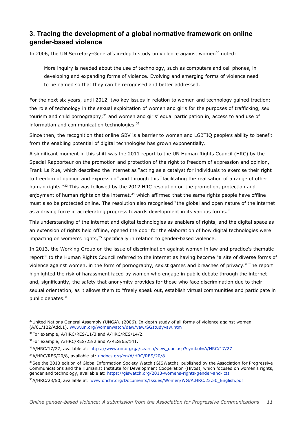## **3. Tracing the development of a global normative framework on online gender-based violence**

In 2006, the UN Secretary-General's in-depth study on violence against women<sup>[30](#page-10-0)</sup> noted:

More inquiry is needed about the use of technology, such as computers and cell phones, in developing and expanding forms of violence. Evolving and emerging forms of violence need to be named so that they can be recognised and better addressed.

For the next six years, until 2012, two key issues in relation to women and technology gained traction: the role of technology in the sexual exploitation of women and girls for the purposes of trafficking, sex tourism and child pornography;<sup>[31](#page-10-1)</sup> and women and girls' equal participation in, access to and use of information and communication technologies.<sup>[32](#page-10-2)</sup>

Since then, the recognition that online GBV is a barrier to women and LGBTIQ people's ability to benefit from the enabling potential of digital technologies has grown exponentially.

A significant moment in this shift was the 2011 report to the UN Human Rights Council (HRC) by the Special Rapporteur on the promotion and protection of the right to freedom of expression and opinion, Frank La Rue, which described the internet as "acting as a catalyst for individuals to exercise their right to freedom of opinion and expression" and through this "facilitating the realisation of a range of other human rights.<sup>"[33](#page-10-3)</sup> This was followed by the 2012 HRC resolution on the promotion, protection and enjoyment of human rights on the internet.<sup>[34](#page-10-4)</sup> which affirmed that the same rights people have offline must also be protected online. The resolution also recognised "the global and open nature of the internet as a driving force in accelerating progress towards development in its various forms."

This understanding of the internet and digital technologies as enablers of rights, and the digital space as an extension of rights held offline, opened the door for the elaboration of how digital technologies were impacting on women's rights, $35$  specifically in relation to gender-based violence.

In 2013, the Working Group on the issue of discrimination against women in law and practice's thematic report<sup>[36](#page-10-6)</sup> to the Human Rights Council referred to the internet as having become "a site of diverse forms of violence against women, in the form of pornography, sexist games and breaches of privacy." The report highlighted the risk of harassment faced by women who engage in public debate through the internet and, significantly, the safety that anonymity provides for those who face discrimination due to their sexual orientation, as it allows them to "freely speak out, establish virtual communities and participate in public debates."

<span id="page-10-0"></span><sup>30</sup>United Nations General Assembly (UNGA). (2006). In-depth study of all forms of violence against women (A/61/122/Add.1). [www.un.org/womenwatch/daw/vaw/SGstudyvaw.htm](http://www.un.org/womenwatch/daw/vaw/SGstudyvaw.htm) 

<span id="page-10-1"></span><sup>&</sup>lt;sup>31</sup>For example, A/HRC/RES/11/3 and A/HRC/RES/14/2.

<span id="page-10-2"></span><sup>&</sup>lt;sup>32</sup>For example, A/HRC/RES/23/2 and A/RES/65/141.

<span id="page-10-4"></span><span id="page-10-3"></span><sup>33</sup>A/HRC/17/27, available at: [https://www.un.org/ga/search/view\\_doc.asp?symbol=A/HRC/17/27](https://www.un.org/ga/search/view_doc.asp?symbol=A/HRC/17/27) <sup>34</sup>A/HRC/RES/20/8, available at: [undocs.org/en/A/HRC/RES/20/8](http://undocs.org/en/A/HRC/RES/20/8)

<span id="page-10-5"></span><sup>&</sup>lt;sup>35</sup>See the 2013 edition of Global Information Society Watch (GISWatch), published by the Association for Progressive Communications and the Humanist Institute for Development Cooperation (Hivos), which focused on women's rights, gender and technology, available at:<https://giswatch.org/2013-womens-rights-gender-and-icts>

<span id="page-10-6"></span><sup>&</sup>lt;sup>36</sup>A/HRC/23/50, available at: [www.ohchr.org/Documents/Issues/Women/WG/A.HRC.23.50\\_English.pdf](http://www.ohchr.org/Documents/Issues/Women/WG/A.HRC.23.50_English.pdf)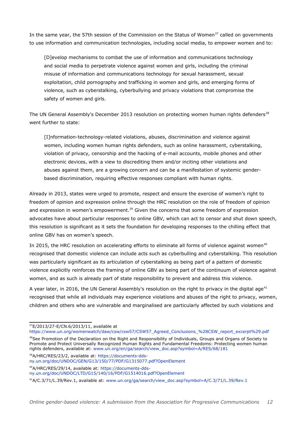In the same year, the 57th session of the Commission on the Status of Women<sup>[37](#page-11-0)</sup> called on governments to use information and communication technologies, including social media, to empower women and to:

[D]evelop mechanisms to combat the use of information and communications technology and social media to perpetrate violence against women and girls, including the criminal misuse of information and communications technology for sexual harassment, sexual exploitation, child pornography and trafficking in women and girls, and emerging forms of violence, such as cyberstalking, cyberbullying and privacy violations that compromise the safety of women and girls.

The UN General Assembly's December 2013 resolution on protecting women human rights defenders<sup>[38](#page-11-1)</sup> went further to state:

[I]nformation-technology-related violations, abuses, discrimination and violence against women, including women human rights defenders, such as online harassment, cyberstalking, violation of privacy, censorship and the hacking of e-mail accounts, mobile phones and other electronic devices, with a view to discrediting them and/or inciting other violations and abuses against them, are a growing concern and can be a manifestation of systemic genderbased discrimination, requiring effective responses compliant with human rights.

Already in 2013, states were urged to promote, respect and ensure the exercise of women's right to freedom of opinion and expression online through the HRC resolution on the role of freedom of opinion and expression in women's empowerment.<sup>[39](#page-11-2)</sup> Given the concerns that some freedom of expression advocates have about particular responses to online GBV, which can act to censor and shut down speech, this resolution is significant as it sets the foundation for developing responses to the chilling effect that online GBV has on women's speech.

In 2015, the HRC resolution on accelerating efforts to eliminate all forms of violence against women<sup>[40](#page-11-3)</sup> recognised that domestic violence can include acts such as cyberbulling and cyberstalking. This resolution was particularly significant as its articulation of cyberstalking as being part of a pattern of domestic violence explicitly reinforces the framing of online GBV as being part of the continuum of violence against women, and as such is already part of state responsibility to prevent and address this violence.

A year later, in 2016, the UN General Assembly's resolution on the right to privacy in the digital age<sup>[41](#page-11-4)</sup> recognised that while all individuals may experience violations and abuses of the right to privacy, women, children and others who are vulnerable and marginalised are particularly affected by such violations and

<span id="page-11-1"></span><sup>38</sup>See Promotion of the Declaration on the Right and Responsibility of Individuals, Groups and Organs of Society to Promote and Protect Universally Recognized Human Rights and Fundamental Freedoms: Protecting women human rights defenders, available at: [www.un.org/en/ga/search/view\\_doc.asp?symbol=A/RES/68/181](http://www.un.org/en/ga/search/view_doc.asp?symbol=A/RES/68/181) 

<span id="page-11-2"></span>39A/HRC/RES/23/2, available at: [https://documents-dds](https://documents-dds-ny.un.org/doc/UNDOC/GEN/G13/150/77/PDF/G1315077.pdf?OpenElement)[ny.un.org/doc/UNDOC/GEN/G13/150/77/PDF/G1315077.pdf?OpenElement](https://documents-dds-ny.un.org/doc/UNDOC/GEN/G13/150/77/PDF/G1315077.pdf?OpenElement)

<span id="page-11-3"></span>40A/HRC/RES/29/14, available at: [https://documents-dds-](https://documents-dds-ny.un.org/doc/UNDOC/LTD/G15/140/16/PDF/G1514016.pdf?OpenElement)

[ny.un.org/doc/UNDOC/LTD/G15/140/16/PDF/G1514016.pdf?OpenElement](https://documents-dds-ny.un.org/doc/UNDOC/LTD/G15/140/16/PDF/G1514016.pdf?OpenElement)

<span id="page-11-0"></span><sup>37</sup>E/2013/27-E/CN.6/2013/11, available at

[https://www.un.org/womenwatch/daw/csw/csw57/CSW57\\_Agreed\\_Conclusions\\_%28CSW\\_report\\_excerpt%29.pdf](https://www.un.org/womenwatch/daw/csw/csw57/CSW57_Agreed_Conclusions_(CSW_report_excerpt).pdf)

<span id="page-11-4"></span><sup>41</sup>A/C.3/71/L.39/Rev.1, available at: [www.un.org/ga/search/view\\_doc.asp?symbol=A/C.3/71/L.39/Rev.1](http://www.un.org/ga/search/view_doc.asp?symbol=A/C.3/71/L.39/Rev.1)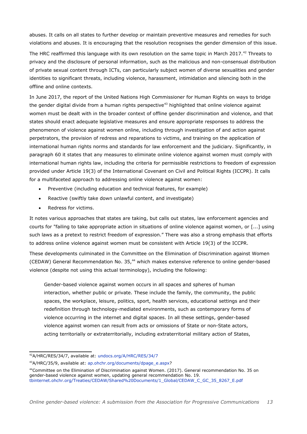abuses. It calls on all states to further develop or maintain preventive measures and remedies for such violations and abuses. It is encouraging that the resolution recognises the gender dimension of this issue.

The HRC reaffirmed this language with its own resolution on the same topic in March 2017.<sup>[42](#page-12-0)</sup> Threats to privacy and the disclosure of personal information, such as the malicious and non-consensual distribution of private sexual content through ICTs, can particularly subject women of diverse sexualities and gender identities to significant threats, including violence, harassment, intimidation and silencing both in the offline and online contexts.

In June 2017, the report of the United Nations High Commissioner for Human Rights on ways to bridge the gender digital divide from a human rights perspective<sup>[43](#page-12-1)</sup> highlighted that online violence against women must be dealt with in the broader context of offline gender discrimination and violence, and that states should enact adequate legislative measures and ensure appropriate responses to address the phenomenon of violence against women online, including through investigation of and action against perpetrators, the provision of redress and reparations to victims, and training on the application of international human rights norms and standards for law enforcement and the judiciary. Significantly, in paragraph 60 it states that any measures to eliminate online violence against women must comply with international human rights law, including the criteria for permissible restrictions to freedom of expression provided under Article 19(3) of the International Covenant on Civil and Political Rights (ICCPR). It calls for a multifaceted approach to addressing online violence against women:

- Preventive (including education and technical features, for example)
- Reactive (swiftly take down unlawful content, and investigate)
- Redress for victims.

It notes various approaches that states are taking, but calls out states, law enforcement agencies and courts for "failing to take appropriate action in situations of online violence against women, or [...] using such laws as a pretext to restrict freedom of expression." There was also a strong emphasis that efforts to address online violence against women must be consistent with Article 19(3) of the ICCPR.

These developments culminated in the Committee on the Elimination of Discrimination against Women (CEDAW) General Recommendation No. 35,<sup>[44](#page-12-2)</sup> which makes extensive reference to online gender-based violence (despite not using this actual terminology), including the following:

Gender-based violence against women occurs in all spaces and spheres of human interaction, whether public or private. These include the family, the community, the public spaces, the workplace, leisure, politics, sport, health services, educational settings and their redefinition through technology-mediated environments, such as contemporary forms of violence occurring in the internet and digital spaces. In all these settings, gender-based violence against women can result from acts or omissions of State or non-State actors, acting territorially or extraterritorially, including extraterritorial military action of States,

<span id="page-12-0"></span><sup>42</sup>A/HRC/RES/34/7, available at: [undocs.org/A/HRC/RES/34/7](http://undocs.org/A/HRC/RES/34/7)

<span id="page-12-1"></span><sup>43</sup>A/HRC/35/9, available at: [ap.ohchr.org/documents/dpage\\_e.aspx?](http://ap.ohchr.org/documents/dpage_e.aspx)

<span id="page-12-2"></span><sup>44</sup>Committee on the Elimination of Discrimination against Women. (2017). General recommendation No. 35 on gender-based violence against women, updating general recommendation No. 19. [tbinternet.ohchr.org/Treaties/CEDAW/Shared%20Documents/1\\_Global/CEDAW\\_C\\_GC\\_35\\_8267\\_E.pdf](http://tbinternet.ohchr.org/Treaties/CEDAW/Shared%20Documents/1_Global/CEDAW_C_GC_35_8267_E.pdf)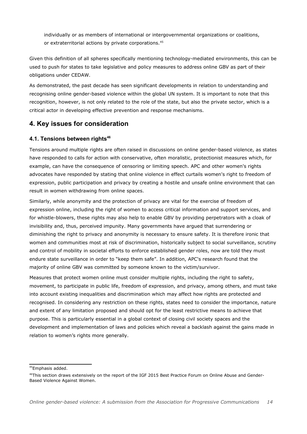individually or as members of international or intergovernmental organizations or coalitions, or extraterritorial actions by private corporations.<sup>[45](#page-13-0)</sup>

Given this definition of all spheres specifically mentioning technology-mediated environments, this can be used to push for states to take legislative and policy measures to address online GBV as part of their obligations under CEDAW.

As demonstrated, the past decade has seen significant developments in relation to understanding and recognising online gender-based violence within the global UN system. It is important to note that this recognition, however, is not only related to the role of the state, but also the private sector, which is a critical actor in developing effective prevention and response mechanisms.

### **4. Key issues for consideration**

#### **4.1. Tensions between rights[46](#page-13-1)**

Tensions around multiple rights are often raised in discussions on online gender-based violence, as states have responded to calls for action with conservative, often moralistic, protectionist measures which, for example, can have the consequence of censoring or limiting speech. APC and other women's rights advocates have responded by stating that online violence in effect curtails women's right to freedom of expression, public participation and privacy by creating a hostile and unsafe online environment that can result in women withdrawing from online spaces.

Similarly, while anonymity and the protection of privacy are vital for the exercise of freedom of expression online, including the right of women to access critical information and support services, and for whistle-blowers, these rights may also help to enable GBV by providing perpetrators with a cloak of invisibility and, thus, perceived impunity. Many governments have argued that surrendering or diminishing the right to privacy and anonymity is necessary to ensure safety. It is therefore ironic that women and communities most at risk of discrimination, historically subject to social surveillance, scrutiny and control of mobility in societal efforts to enforce established gender roles, now are told they must endure state surveillance in order to "keep them safe". In addition, APC's research found that the majority of online GBV was committed by someone known to the victim/survivor.

Measures that protect women online must consider multiple rights, including the right to safety, movement, to participate in public life, freedom of expression, and privacy, among others, and must take into account existing inequalities and discrimination which may affect how rights are protected and recognised. In considering any restriction on these rights, states need to consider the importance, nature and extent of any limitation proposed and should opt for the least restrictive means to achieve that purpose. This is particularly essential in a global context of closing civil society spaces and the development and implementation of laws and policies which reveal a backlash against the gains made in relation to women's rights more generally.

<span id="page-13-0"></span><sup>45</sup>Emphasis added.

<span id="page-13-1"></span><sup>46</sup>This section draws extensively on the report of the IGF 2015 Best Practice Forum on Online Abuse and Gender-Based Violence Against Women.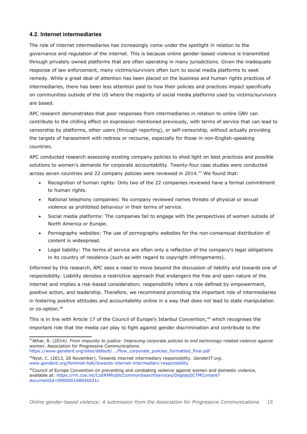#### **4.2. Internet intermediaries**

The role of internet intermediaries has increasingly come under the spotlight in relation to the governance and regulation of the internet. This is because online gender-based violence is transmitted through privately owned platforms that are often operating in many jurisdictions. Given the inadequate response of law enforcement, many victims/survivors often turn to social media platforms to seek remedy. While a great deal of attention has been placed on the business and human rights practices of intermediaries, there has been less attention paid to how their policies and practices impact specifically on communities outside of the US where the majority of social media platforms used by victims/survivors are based.

APC research demonstrates that poor responses from intermediaries in relation to online GBV can contribute to the chilling effect on expression mentioned previously, with terms of service that can lead to censorship by platforms, other users (through reporting), or self-censorship, without actually providing the targets of harassment with redress or recourse, especially for those in non-English-speaking countries.

APC conducted research assessing existing company policies to shed light on best practices and possible solutions to women's demands for corporate accountability. Twenty-four case studies were conducted across seven countries and 22 company policies were reviewed in 2014.<sup>[47](#page-14-0)</sup> We found that:

- Recognition of human rights: Only two of the 22 companies reviewed have a formal commitment to human rights.
- National telephony companies: No company reviewed names threats of physical or sexual violence as prohibited behaviour in their terms of service.
- Social media platforms: The companies fail to engage with the perspectives of women outside of North America or Europe.
- Pornography websites: The use of pornography websites for the non-consensual distribution of content is widespread.
- Legal liability: The terms of service are often only a reflection of the company's legal obligations in its country of residence (such as with regard to copyright infringements).

Informed by this research, APC sees a need to move beyond the discussion of liability and towards one of responsibility. Liability denotes a restrictive approach that endangers the free and open nature of the internet and implies a risk-based consideration; responsibility infers a role defined by empowerment, positive action, and leadership. Therefore, we recommend promoting the important role of intermediaries in fostering positive attitudes and accountability online in a way that does not lead to state manipulation or co-option.[48](#page-14-1)

This is in line with Article 17 of the Council of Europe's Istanbul Convention, $49$  which recognises the important role that the media can play to fight against gender discrimination and contribute to the

[https://www.genderit.org/sites/default/.../flow\\_corporate\\_policies\\_formatted\\_final.pdf](https://www.genderit.org/sites/default/.../flow_corporate_policies_formatted_final.pdf)  <sup>48</sup>Nyst, C. (2013, 26 November). Towards internet intermediary responsibility. *GenderIT.org*.

<span id="page-14-0"></span><sup>47</sup>Athar, R. (2014). *From impunity to justice: Improving corporate policies to end technology-related violence against women*. Association for Progressive Communications.

<span id="page-14-1"></span>[www.genderit.org/feminist-talk/towards-internet-intermediary-responsibility](http://www.genderit.org/feminist-talk/towards-internet-intermediary-responsibility) 

<span id="page-14-2"></span><sup>&</sup>lt;sup>49</sup>Council of Europe Convention on preventing and combating violence against women and domestic violence, available at: [https://rm.coe.int/CoERMPublicCommonSearchServices/DisplayDCTMContent?](https://rm.coe.int/CoERMPublicCommonSearchServices/DisplayDCTMContent?documentId=090000168046031c) [documentId=090000168046031c](https://rm.coe.int/CoERMPublicCommonSearchServices/DisplayDCTMContent?documentId=090000168046031c)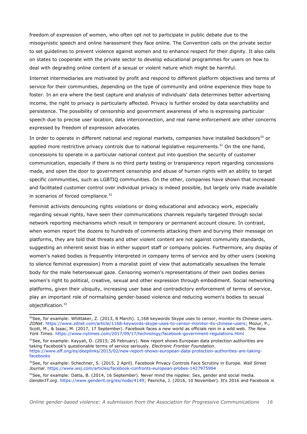freedom of expression of women, who often opt not to participate in public debate due to the misogynistic speech and online harassment they face online. The Convention calls on the private sector to set guidelines to prevent violence against women and to enhance respect for their dignity. It also calls on states to cooperate with the private sector to develop educational programmes for users on how to deal with degrading online content of a sexual or violent nature which might be harmful.

Internet intermediaries are motivated by profit and respond to different platform objectives and terms of service for their communities, depending on the type of community and online experience they hope to foster. In an era where the best capture and analysis of individuals' data determines better advertising income, the right to privacy is particularly affected. Privacy is further eroded by data searchability and persistence. The possibility of censorship and government awareness of who is expressing particular speech due to precise user location, data interconnection, and real name enforcement are other concerns expressed by freedom of expression advocates.

In order to operate in different national and regional markets, companies have installed backdoors<sup>[50](#page-15-0)</sup> or applied more restrictive privacy controls due to national legislative requirements.<sup>[51](#page-15-1)</sup> On the one hand, concessions to operate in a particular national context put into question the security of customer communication, especially if there is no third party testing or transparency report regarding concessions made, and open the door to government censorship and abuse of human rights with an ability to target specific communities, such as LGBTIQ communities. On the other, companies have shown that increased and facilitated customer control over individual privacy is indeed possible, but largely only made available in scenarios of forced compliance. $52$ 

Feminist activists denouncing rights violations or doing educational and advocacy work, especially regarding sexual rights, have seen their communications channels regularly targeted through social network reporting mechanisms which result in temporary or permanent account closure. In contrast, when women report the dozens to hundreds of comments attacking them and burying their message on platforms, they are told that threats and other violent content are not against community standards, suggesting an inherent sexist bias in either support staff or company policies. Furthermore, any display of women's naked bodies is frequently interpreted in company terms of service and by other users (seeking to silence feminist expression) from a moralist point of view that automatically sexualises the female body for the male heterosexual gaze. Censoring women's representations of their own bodies denies women's right to political, creative, sexual and other expression through embodiment. Social networking platforms, given their ubiquity, increasing user base and contradictory enforcement of terms of service, play an important role of normalising gender-based violence and reducing women's bodies to sexual objectification.[53](#page-15-3)

<span id="page-15-0"></span><sup>&</sup>lt;sup>50</sup>See, for example: Whittaker, Z. (2013, 8 March). 1,168 keywords Skype uses to censor, monitor its Chinese users. *ZDNet*. [https://www.zdnet.com/article/1168-keywords-skype-uses-to-censor-monitor-its-chinese-users;](https://www.zdnet.com/article/1168-keywords-skype-uses-to-censor-monitor-its-chinese-users) Mozur, P., Scott, M., & Isaac, M. (2017, 17 September). Facebook faces a new world as officials rein in a wild web. *The New York Times*.<https://www.nytimes.com/2017/09/17/technology/facebook-government-regulations.html>

<span id="page-15-1"></span><sup>&</sup>lt;sup>51</sup>See, for example: Kayyali, D. (2015, 26 February). New report shows European data protection authorities are taking Facebook's questionable terms of service seriously. *Electronic Frontier Foundation*. [https://www.eff.org/es/deeplinks/2015/02/new-report-shows-european-data-protection-authorities-are-taking](https://www.eff.org/es/deeplinks/2015/02/new-report-shows-european-data-protection-authorities-are-taking-facebooks)[facebooks](https://www.eff.org/es/deeplinks/2015/02/new-report-shows-european-data-protection-authorities-are-taking-facebooks) 

<span id="page-15-2"></span><sup>52</sup>See, for example: Schechner, S. (2015, 2 April). Facebook Privacy Controls Face Scrutiny in Europe. *Wall Street Journal*.<https://www.wsj.com/articles/facebook-confronts-european-probes-1427975994>

<span id="page-15-3"></span> $53$ See, for example: Datta, B. (2014, 16 September). Never mind the nipples: Sex, gender and social media. *GenderIT.org*. [https://www.genderit.org/es/node/4149;](https://www.genderit.org/es/node/4149) Pasricha, J. (2016, 10 November). It's 2016 and Facebook is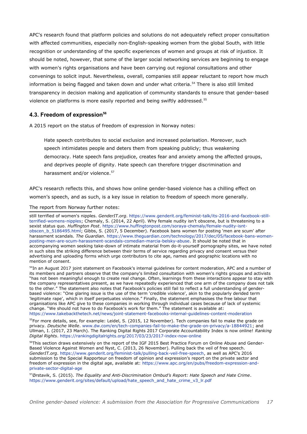APC's research found that platform policies and solutions do not adequately reflect proper consultation with affected communities, especially non-English-speaking women from the global South, with little recognition or understanding of the specific experiences of women and groups at risk of injustice. It should be noted, however, that some of the larger social networking services are beginning to engage with women's rights organisations and have been carrying out regional consultations and other convenings to solicit input. Nevertheless, overall, companies still appear reluctant to report how much information is being flagged and taken down and under what criteria.<sup>[54](#page-16-0)</sup> There is also still limited transparency in decision making and application of community standards to ensure that gender-based violence on platforms is more easily reported and being swiftly addressed.<sup>[55](#page-16-1)</sup>

#### **4.3. Freedom of expression[56](#page-16-2)**

A 2015 report on the status of freedom of expression in Norway notes:

Hate speech contributes to social exclusion and increased polarisation. Moreover, such speech intimidates people and deters them from speaking publicly; thus weakening democracy. Hate speech fans prejudice, creates fear and anxiety among the affected groups, and deprives people of dignity. Hate speech can therefore trigger discrimination and harassment and/or violence.<sup>[57](#page-16-3)</sup>

APC's research reflects this, and shows how online gender-based violence has a chilling effect on women's speech, and as such, is a key issue in relation to freedom of speech more generally.

#### The report from Norway further notes:

still terrified of women's nipples. *GenderIT.org*. [https://www.genderit.org/feminist-talk/its-2016-and-facebook-still](https://www.genderit.org/feminist-talk/its-2016-and-facebook-still-terrified-womens-nipples)[terrified-womens-nipples;](https://www.genderit.org/feminist-talk/its-2016-and-facebook-still-terrified-womens-nipples) Chemaly, S. (2014, 22 April). Why female nudity isn't obscene, but is threatening to a sexist status quo. *Huffington Post*. [https://www.huffingtonpost.com/soraya-chemaly/female-nudity-isnt](https://www.huffingtonpost.com/soraya-chemaly/female-nudity-isnt-obscen_b_5186495.html)[obscen\\_b\\_5186495.html;](https://www.huffingtonpost.com/soraya-chemaly/female-nudity-isnt-obscen_b_5186495.html) Gibbs, S. (2017, 5 December). Facebook bans women for posting 'men are scum' after harassment scandals. *The Guardian*. [https://www.theguardian.com/technology/2017/dec/05/facebook-bans-women](https://www.theguardian.com/technology/2017/dec/05/facebook-bans-women-posting-men-are-scum-harassment-scandals-comedian-marcia-belsky-abuse)[posting-men-are-scum-harassment-scandals-comedian-marcia-belsky-abuse.](https://www.theguardian.com/technology/2017/dec/05/facebook-bans-women-posting-men-are-scum-harassment-scandals-comedian-marcia-belsky-abuse) It should be noted that in accompanying women seeking take-down of intimate material from do-it-yourself pornography sites, we have noted in such sites the striking difference between their terms of service regarding privacy and consent versus their advertising and uploading forms which urge contributors to cite age, names and geographic locations with no mention of consent.

<span id="page-16-0"></span><sup>54</sup>In an August 2017 joint statement on Facebook's internal guidelines for content moderation, APC and a number of its members and partners observe that the company's limited consultation with women's rights groups and activists "has not been meaningful enough to create real change. Often, learnings from these interactions appear to stay with the company representatives present, as we have repeatedly experienced that one arm of the company does not talk to the other." The statement also notes that Facebook's policies still fail to reflect a full understanding of genderbased violence: "One glaring issue is the use of the term 'credible violence', akin to the popularly derided term 'legitimate rape', which in itself perpetuates violence." Finally, the statement emphasises the free labour that organisations like APC give to these companies in working through individual cases because of lack of systemic change. "We should not have to do Facebook's work for them." The statement is available at: <https://www.takebackthetech.net/news/joint-statement-facebooks-internal-guidelines-content-moderation>

<span id="page-16-1"></span><sup>55</sup>For more details, see, for example: Leidel, S. (2015, 12 November). Tech companies fail to make the grade on privacy. *Deutsche Welle*. [www.dw.com/en/tech-companies-fail-to-make-the-grade-on-privacy/a-18844921;](http://www.dw.com/en/tech-companies-fail-to-make-the-grade-on-privacy/a-18844921) and Ullman, I. (2017, 23 March). The Ranking Digital Rights 2017 Corporate Accountability Index is now online! *Ranking Digital Rights*.<https://rankingdigitalrights.org/2017/03/23/2017-index-now-online>

<span id="page-16-2"></span><sup>56</sup>This section draws extensively on the report of the IGF 2015 Best Practice Forum on Online Abuse and Gender-Based Violence Against Women and Nyst, C. (2013, 26 November). Pulling back the veil of free speech. *GenderIT.org*. [https://www.genderit.org/feminist-talk/pulling-back-veil-free-speech,](https://www.genderit.org/feminist-talk/pulling-back-veil-free-speech) as well as APC's 2016 submission to the Special Rapporteur on freedom of opinion and expression's report on the private sector and freedom of expression in the digital age, available at: [https://www.apc.org/en/pubs/freedom-expression-and](https://www.apc.org/en/pubs/freedom-expression-and-private-sector-digital-age)[private-sector-digital-age](https://www.apc.org/en/pubs/freedom-expression-and-private-sector-digital-age)

<span id="page-16-3"></span><sup>57</sup>Ørstavik, S. (2015). *The Equality and Anti-Discrimination Ombud's Report: Hate Speech and Hate Crime*. [https://www.genderit.org/sites/default/upload/hate\\_speech\\_and\\_hate\\_crime\\_v3\\_lr.pdf](https://www.genderit.org/sites/default/upload/hate_speech_and_hate_crime_v3_lr.pdf)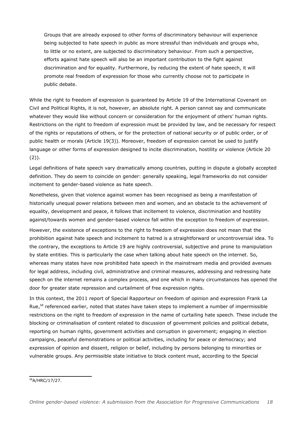Groups that are already exposed to other forms of discriminatory behaviour will experience being subjected to hate speech in public as more stressful than individuals and groups who, to little or no extent, are subjected to discriminatory behaviour. From such a perspective, efforts against hate speech will also be an important contribution to the fight against discrimination and for equality. Furthermore, by reducing the extent of hate speech, it will promote real freedom of expression for those who currently choose not to participate in public debate.

While the right to freedom of expression is guaranteed by Article 19 of the International Covenant on Civil and Political Rights, it is not, however, an absolute right. A person cannot say and communicate whatever they would like without concern or consideration for the enjoyment of others' human rights. Restrictions on the right to freedom of expression must be provided by law, and be necessary for respect of the rights or reputations of others, or for the protection of national security or of public order, or of public health or morals (Article 19(3)). Moreover, freedom of expression cannot be used to justify language or other forms of expression designed to incite discrimination, hostility or violence (Article 20 (2)).

Legal definitions of hate speech vary dramatically among countries, putting in dispute a globally accepted definition. They do seem to coincide on gender: generally speaking, legal frameworks do not consider incitement to gender-based violence as hate speech.

Nonetheless, given that violence against women has been recognised as being a manifestation of historically unequal power relations between men and women, and an obstacle to the achievement of equality, development and peace, it follows that incitement to violence, discrimination and hostility against/towards women and gender-based violence fall within the exception to freedom of expression.

However, the existence of exceptions to the right to freedom of expression does not mean that the prohibition against hate speech and incitement to hatred is a straightforward or uncontroversial idea. To the contrary, the exceptions to Article 19 are highly controversial, subjective and prone to manipulation by state entities. This is particularly the case when talking about hate speech on the internet. So, whereas many states have now prohibited hate speech in the mainstream media and provided avenues for legal address, including civil, administrative and criminal measures, addressing and redressing hate speech on the internet remains a complex process, and one which in many circumstances has opened the door for greater state repression and curtailment of free expression rights.

In this context, the 2011 report of Special Rapporteur on freedom of opinion and expression Frank La Rue,<sup>[58](#page-17-0)</sup> referenced earlier, noted that states have taken steps to implement a number of impermissible restrictions on the right to freedom of expression in the name of curtailing hate speech. These include the blocking or criminalisation of content related to discussion of government policies and political debate, reporting on human rights, government activities and corruption in government; engaging in election campaigns, peaceful demonstrations or political activities, including for peace or democracy; and expression of opinion and dissent, religion or belief, including by persons belonging to minorities or vulnerable groups. Any permissible state initiative to block content must, according to the Special

<span id="page-17-0"></span><sup>58</sup>A/HRC/17/27.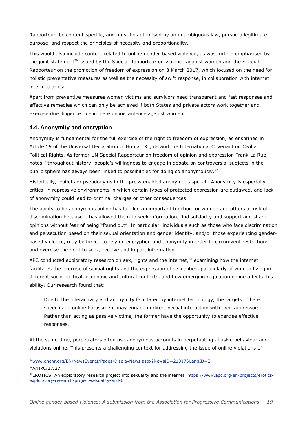Rapporteur, be content-specific, and must be authorised by an unambiguous law, pursue a legitimate purpose, and respect the principles of necessity and proportionality.

This would also include content related to online gender-based violence, as was further emphasised by the joint statement<sup>[59](#page-18-0)</sup> issued by the Special Rapporteur on violence against women and the Special Rapporteur on the promotion of freedom of expression on 8 March 2017, which focused on the need for holistic preventative measures as well as the necessity of swift response, in collaboration with internet intermediaries:

Apart from preventive measures women victims and survivors need transparent and fast responses and effective remedies which can only be achieved if both States and private actors work together and exercise due diligence to eliminate online violence against women.

#### **4.4. Anonymity and encryption**

Anonymity is fundamental for the full exercise of the right to freedom of expression, as enshrined in Article 19 of the Universal Declaration of Human Rights and the International Covenant on Civil and Political Rights. As former UN Special Rapporteur on freedom of opinion and expression Frank La Rue notes, "throughout history, people's willingness to engage in debate on controversial subjects in the public sphere has always been linked to possibilities for doing so anonymously."<sup>[60](#page-18-1)</sup>

Historically, leaflets or pseudonyms in the press enabled anonymous speech. Anonymity is especially critical in repressive environments in which certain types of protected expression are outlawed, and lack of anonymity could lead to criminal charges or other consequences.

The ability to be anonymous online has fulfilled an important function for women and others at risk of discrimination because it has allowed them to seek information, find solidarity and support and share opinions without fear of being "found out". In particular, individuals such as those who face discrimination and persecution based on their sexual orientation and gender identity, and/or those experiencing genderbased violence, may be forced to rely on encryption and anonymity in order to circumvent restrictions and exercise the right to seek, receive and impart information.

APC conducted exploratory research on sex, rights and the internet,  $61$  examining how the internet facilitates the exercise of sexual rights and the expression of sexualities, particularly of women living in different socio-political, economic and cultural contexts, and how emerging regulation online affects this ability. Our research found that:

Due to the interactivity and anonymity facilitated by internet technology, the targets of hate speech and online harassment may engage in direct verbal interaction with their aggressors. Rather than acting as passive victims, the former have the opportunity to exercise effective responses.

At the same time, perpetrators often use anonymous accounts in perpetuating abusive behaviour and violations online. This presents a challenging context for addressing the issue of online violations of

<span id="page-18-0"></span><sup>59</sup>[www.ohchr.org/EN/NewsEvents/Pages/DisplayNews.aspx?NewsID=21317&LangID=E](http://www.ohchr.org/EN/NewsEvents/Pages/DisplayNews.aspx?NewsID=21317&LangID=E)

<span id="page-18-1"></span><sup>60</sup>A/HRC/17/27.

<span id="page-18-2"></span><sup>&</sup>lt;sup>61</sup>EROTICS: An exploratory research project into sexuality and the internet. [https://www.apc.org/en/projects/erotics](https://www.apc.org/en/projects/erotics-exploratory-research-project-sexuality-and-0)[exploratory-research-project-sexuality-and-0](https://www.apc.org/en/projects/erotics-exploratory-research-project-sexuality-and-0)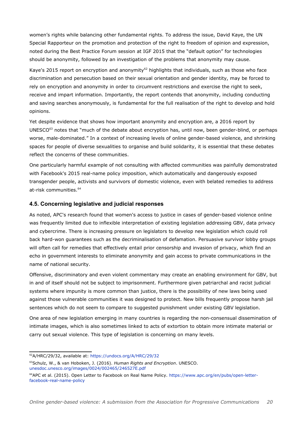women's rights while balancing other fundamental rights. To address the issue, David Kaye, the UN Special Rapporteur on the promotion and protection of the right to freedom of opinion and expression, noted during the Best Practice Forum session at IGF 2015 that the "default option" for technologies should be anonymity, followed by an investigation of the problems that anonymity may cause.

Kaye's 2015 report on encryption and anonymity<sup>[62](#page-19-0)</sup> highlights that individuals, such as those who face discrimination and persecution based on their sexual orientation and gender identity, may be forced to rely on encryption and anonymity in order to circumvent restrictions and exercise the right to seek, receive and impart information. Importantly, the report contends that anonymity, including conducting and saving searches anonymously, is fundamental for the full realisation of the right to develop and hold opinions.

Yet despite evidence that shows how important anonymity and encryption are, a 2016 report by UNESCO $^{63}$  $^{63}$  $^{63}$  notes that "much of the debate about encryption has, until now, been gender-blind, or perhaps worse, male-dominated." In a context of increasing levels of online gender-based violence, and shrinking spaces for people of diverse sexualities to organise and build solidarity, it is essential that these debates reflect the concerns of these communities.

One particularly harmful example of not consulting with affected communities was painfully demonstrated with Facebook's 2015 real-name policy imposition, which automatically and dangerously exposed transgender people, activists and survivors of domestic violence, even with belated remedies to address at-risk communities.<sup>[64](#page-19-2)</sup>

#### **4.5. Concerning legislative and judicial responses**

As noted, APC's research found that women's access to justice in cases of gender-based violence online was frequently limited due to inflexible interpretation of existing legislation addressing GBV, data privacy and cybercrime. There is increasing pressure on legislators to develop new legislation which could roll back hard-won guarantees such as the decriminalisation of defamation. Persuasive survivor lobby groups will often call for remedies that effectively entail prior censorship and invasion of privacy, which find an echo in government interests to eliminate anonymity and gain access to private communications in the name of national security.

Offensive, discriminatory and even violent commentary may create an enabling environment for GBV, but in and of itself should not be subject to imprisonment. Furthermore given patriarchal and racist judicial systems where impunity is more common than justice, there is the possibility of new laws being used against those vulnerable communities it was designed to protect. New bills frequently propose harsh jail sentences which do not seem to compare to suggested punishment under existing GBV legislation.

One area of new legislation emerging in many countries is regarding the non-consensual dissemination of intimate images, which is also sometimes linked to acts of extortion to obtain more intimate material or carry out sexual violence. This type of legislation is concerning on many levels.

<span id="page-19-0"></span><sup>62</sup>A/HRC/29/32, available at:<https://undocs.org/A/HRC/29/32>

<span id="page-19-1"></span><sup>63</sup>Schulz, W., & van Hoboken, J. (2016). *Human Rights and Encryption*. UNESCO. [unesdoc.unesco.org/images/0024/002465/246527E.pdf](http://unesdoc.unesco.org/images/0024/002465/246527E.pdf) 

<span id="page-19-2"></span><sup>&</sup>lt;sup>64</sup>APC et al. (2015). Open Letter to Facebook on Real Name Policy. [https://www.apc.org/en/pubs/open-letter](https://www.apc.org/en/pubs/open-letter-facebook-real-name-policy)[facebook-real-name-policy](https://www.apc.org/en/pubs/open-letter-facebook-real-name-policy)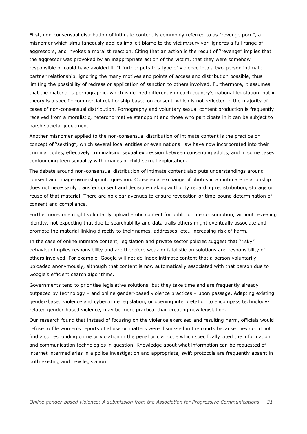First, non-consensual distribution of intimate content is commonly referred to as "revenge porn", a misnomer which simultaneously applies implicit blame to the victim/survivor, ignores a full range of aggressors, and invokes a moralist reaction. Citing that an action is the result of "revenge" implies that the aggressor was provoked by an inappropriate action of the victim, that they were somehow responsible or could have avoided it. It further puts this type of violence into a two-person intimate partner relationship, ignoring the many motives and points of access and distribution possible, thus limiting the possibility of redress or application of sanction to others involved. Furthermore, it assumes that the material is pornographic, which is defined differently in each country's national legislation, but in theory is a specific commercial relationship based on consent, which is not reflected in the majority of cases of non-consensual distribution. Pornography and voluntary sexual content production is frequently received from a moralistic, heteronormative standpoint and those who participate in it can be subject to harsh societal judgement.

Another misnomer applied to the non-consensual distribution of intimate content is the practice or concept of "sexting", which several local entities or even national law have now incorporated into their criminal codes, effectively criminalising sexual expression between consenting adults, and in some cases confounding teen sexuality with images of child sexual exploitation.

The debate around non-consensual distribution of intimate content also puts understandings around consent and image ownership into question. Consensual exchange of photos in an intimate relationship does not necessarily transfer consent and decision-making authority regarding redistribution, storage or reuse of that material. There are no clear avenues to ensure revocation or time-bound determination of consent and compliance.

Furthermore, one might voluntarily upload erotic content for public online consumption, without revealing identity, not expecting that due to searchability and data trails others might eventually associate and promote the material linking directly to their names, addresses, etc., increasing risk of harm.

In the case of online intimate content, legislation and private sector policies suggest that "risky" behaviour implies responsibility and are therefore weak or fatalistic on solutions and responsibility of others involved. For example, Google will not de-index intimate content that a person voluntarily uploaded anonymously, although that content is now automatically associated with that person due to Google's efficient search algorithms.

Governments tend to prioritise legislative solutions, but they take time and are frequently already outpaced by technology – and online gender-based violence practices – upon passage. Adapting existing gender-based violence and cybercrime legislation, or opening interpretation to encompass technologyrelated gender-based violence, may be more practical than creating new legislation.

Our research found that instead of focusing on the violence exercised and resulting harm, officials would refuse to file women's reports of abuse or matters were dismissed in the courts because they could not find a corresponding crime or violation in the penal or civil code which specifically cited the information and communication technologies in question. Knowledge about what information can be requested of internet intermediaries in a police investigation and appropriate, swift protocols are frequently absent in both existing and new legislation.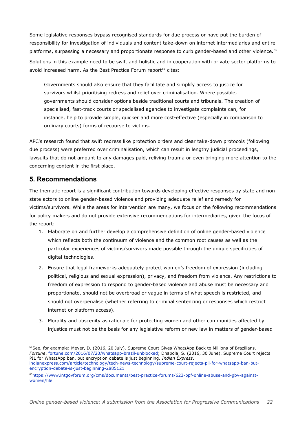Some legislative responses bypass recognised standards for due process or have put the burden of responsibility for investigation of individuals and content take-down on internet intermediaries and entire platforms, surpassing a necessary and proportionate response to curb gender-based and other violence.<sup>[65](#page-21-0)</sup> Solutions in this example need to be swift and holistic and in cooperation with private sector platforms to avoid increased harm. As the Best Practice Forum report<sup>[66](#page-21-1)</sup> cites:

Governments should also ensure that they facilitate and simplify access to justice for survivors whilst prioritising redress and relief over criminalisation. Where possible, governments should consider options beside traditional courts and tribunals. The creation of specialised, fast-track courts or specialised agencies to investigate complaints can, for instance, help to provide simple, quicker and more cost-effective (especially in comparison to ordinary courts) forms of recourse to victims.

APC's research found that swift redress like protection orders and clear take-down protocols (following due process) were preferred over criminalisation, which can result in lengthy judicial proceedings, lawsuits that do not amount to any damages paid, reliving trauma or even bringing more attention to the concerning content in the first place.

#### **5. Recommendations**

The thematic report is a significant contribution towards developing effective responses by state and nonstate actors to online gender-based violence and providing adequate relief and remedy for victims/survivors. While the areas for intervention are many, we focus on the following recommendations for policy makers and do not provide extensive recommendations for intermediaries, given the focus of the report:

- 1. Elaborate on and further develop a comprehensive definition of online gender-based violence which reflects both the continuum of violence and the common root causes as well as the particular experiences of victims/survivors made possible through the unique specificities of digital technologies.
- 2. Ensure that legal frameworks adequately protect women's freedom of expression (including political, religious and sexual expression), privacy, and freedom from violence. Any restrictions to freedom of expression to respond to gender-based violence and abuse must be necessary and proportionate, should not be overbroad or vague in terms of what speech is restricted, and should not overpenalise (whether referring to criminal sentencing or responses which restrict internet or platform access).
- 3. Morality and obscenity as rationale for protecting women and other communities affected by injustice must not be the basis for any legislative reform or new law in matters of gender-based

<span id="page-21-0"></span><sup>&</sup>lt;sup>65</sup>See, for example: Meyer, D. (2016, 20 July). Supreme Court Gives WhatsApp Back to Millions of Brazilians. *Fortune*. [fortune.com/2016/07/20/whatsapp-brazil-unblocked;](http://fortune.com/2016/07/20/whatsapp-brazil-unblocked) Dhapola, S. (2016, 30 June). Supreme Court rejects PIL for WhatsApp ban, but encryption debate is just beginning. *Indian Express*. [indianexpress.com/article/technology/tech-news-technology/supreme-court-rejects-pil-for-whatsapp-ban-but](http://indianexpress.com/article/technology/tech-news-technology/supreme-court-rejects-pil-for-whatsapp-ban-but-encryption-debate-is-just-beginning-2885121)[encryption-debate-is-just-beginning-2885121](http://indianexpress.com/article/technology/tech-news-technology/supreme-court-rejects-pil-for-whatsapp-ban-but-encryption-debate-is-just-beginning-2885121) 

<span id="page-21-1"></span><sup>66</sup>[https://www.intgovforum.org/cms/documents/best-practice-forums/623-bpf-online-abuse-and-gbv-against](https://www.intgovforum.org/cms/documents/best-practice-forums/623-bpf-online-abuse-and-gbv-against-women/file)[women/file](https://www.intgovforum.org/cms/documents/best-practice-forums/623-bpf-online-abuse-and-gbv-against-women/file)